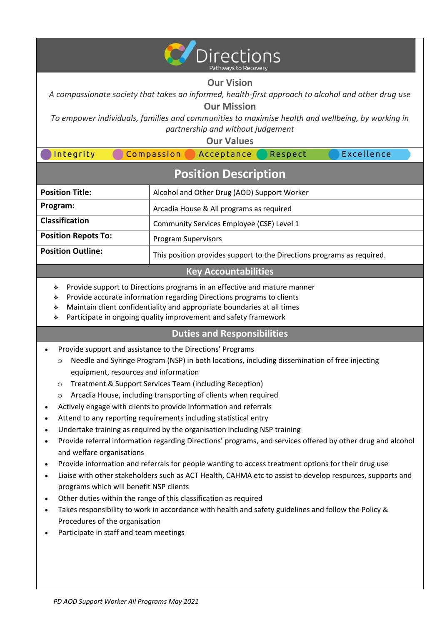

# **Our Vision**

*A compassionate society that takes an informed, health-first approach to alcohol and other drug use* **Our Mission**

*To empower individuals, families and communities to maximise health and wellbeing, by working in partnership and without judgement*

**Our Values**

| Integrity                   | Respect<br>Compassion<br>Acceptance         | Excellence |
|-----------------------------|---------------------------------------------|------------|
| <b>Position Description</b> |                                             |            |
| <b>Position Title:</b>      | Alcohol and Other Drug (AOD) Support Worker |            |
| Program:                    | Arcadia House & All programs as required    |            |
| <b>Classification</b>       | Community Services Employee (CSE) Level 1   |            |
|                             |                                             |            |

**Position Repots To:** Program Supervisors

**Position Outline:** This position provides support to the Directions programs as required.

# **Key Accountabilities**

- ❖ Provide support to Directions programs in an effective and mature manner
- ❖ Provide accurate information regarding Directions programs to clients
- ❖ Maintain client confidentiality and appropriate boundaries at all times
- ❖ Participate in ongoing quality improvement and safety framework

# **Duties and Responsibilities**

- Provide support and assistance to the Directions' Programs
	- o Needle and Syringe Program (NSP) in both locations, including dissemination of free injecting equipment, resources and information
	- o Treatment & Support Services Team (including Reception)
	- Arcadia House, including transporting of clients when required
- Actively engage with clients to provide information and referrals
- Attend to any reporting requirements including statistical entry
- Undertake training as required by the organisation including NSP training
- Provide referral information regarding Directions' programs, and services offered by other drug and alcohol and welfare organisations
- Provide information and referrals for people wanting to access treatment options for their drug use
- Liaise with other stakeholders such as ACT Health, CAHMA etc to assist to develop resources, supports and programs which will benefit NSP clients
- Other duties within the range of this classification as required
- Takes responsibility to work in accordance with health and safety guidelines and follow the Policy & Procedures of the organisation
- Participate in staff and team meetings